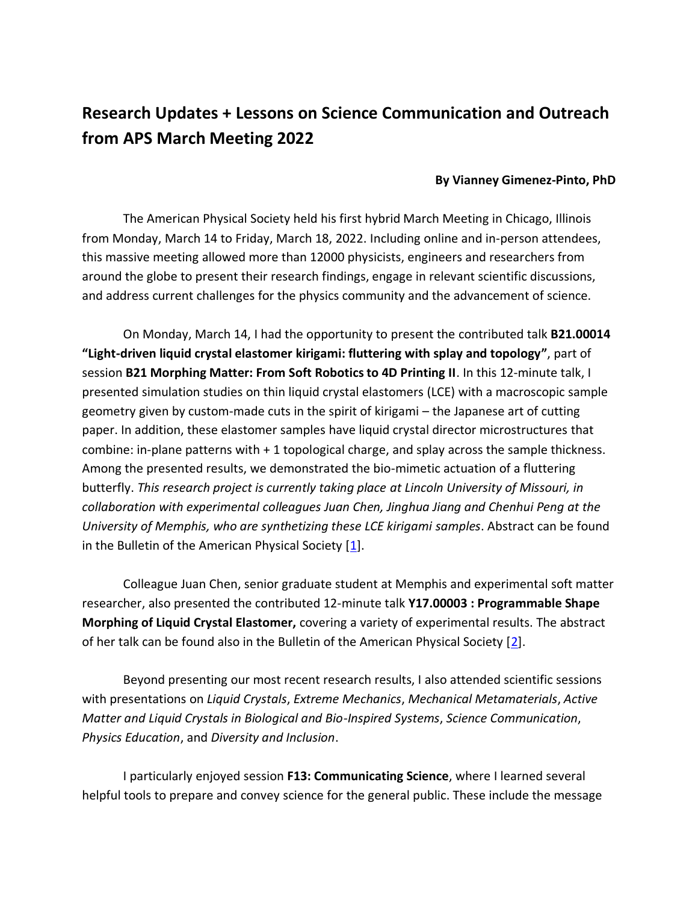## **Research Updates + Lessons on Science Communication and Outreach from APS March Meeting 2022**

## **By Vianney Gimenez-Pinto, PhD**

The American Physical Society held his first hybrid March Meeting in Chicago, Illinois from Monday, March 14 to Friday, March 18, 2022. Including online and in-person attendees, this massive meeting allowed more than 12000 physicists, engineers and researchers from around the globe to present their research findings, engage in relevant scientific discussions, and address current challenges for the physics community and the advancement of science.

On Monday, March 14, I had the opportunity to present the contributed talk **B21.00014 "Light-driven liquid crystal elastomer kirigami: fluttering with splay and topology"**, part of session **B21 Morphing Matter: From Soft Robotics to 4D Printing II**. In this 12-minute talk, I presented simulation studies on thin liquid crystal elastomers (LCE) with a macroscopic sample geometry given by custom-made cuts in the spirit of kirigami – the Japanese art of cutting paper. In addition, these elastomer samples have liquid crystal director microstructures that combine: in-plane patterns with + 1 topological charge, and splay across the sample thickness. Among the presented results, we demonstrated the bio-mimetic actuation of a fluttering butterfly. *This research project is currently taking place at Lincoln University of Missouri, in collaboration with experimental colleagues Juan Chen, Jinghua Jiang and Chenhui Peng at the University of Memphis, who are synthetizing these LCE kirigami samples*. Abstract can be found in the Bulletin of the American Physical Society [\[1\]](https://meetings.aps.org/Meeting/MAR22/Session/B21.14).

Colleague Juan Chen, senior graduate student at Memphis and experimental soft matter researcher, also presented the contributed 12-minute talk **Y17.00003 : Programmable Shape Morphing of Liquid Crystal Elastomer,** covering a variety of experimental results. The abstract of her talk can be found also in the Bulletin of the American Physical Society [\[2\]](https://meetings.aps.org/Meeting/MAR22/Session/Y17.3).

Beyond presenting our most recent research results, I also attended scientific sessions with presentations on *Liquid Crystals*, *Extreme Mechanics*, *Mechanical Metamaterials*, *Active Matter and Liquid Crystals in Biological and Bio-Inspired Systems*, *Science Communication*, *Physics Education*, and *Diversity and Inclusion*.

I particularly enjoyed session **F13: Communicating Science**, where I learned several helpful tools to prepare and convey science for the general public. These include the message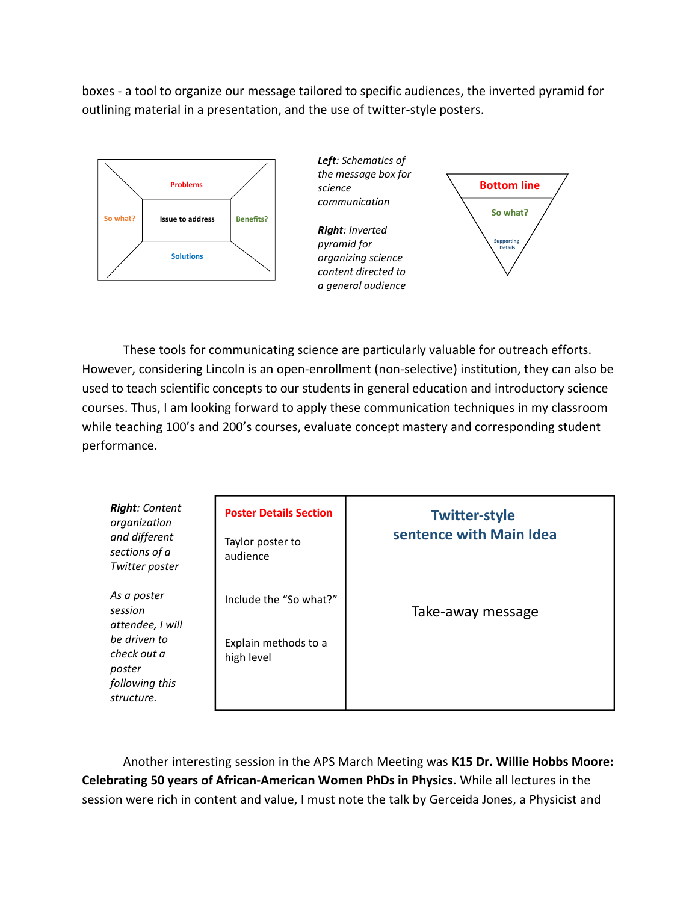boxes - a tool to organize our message tailored to specific audiences, the inverted pyramid for outlining material in a presentation, and the use of twitter-style posters.





**Supporting Details** *pyramid for*  **Solutions** *organizing science Right: Inverted content directed to a general audience*



These tools for communicating science are particularly valuable for outreach efforts. However, considering Lincoln is an open-enrollment (non-selective) institution, they can also be used to teach scientific concepts to our students in general education and introductory science courses. Thus, I am looking forward to apply these communication techniques in my classroom while teaching 100's and 200's courses, evaluate concept mastery and corresponding student performance.

| <b>Right:</b> Content<br>organization<br>and different<br>sections of a<br>Twitter poster                           | <b>Poster Details Section</b><br>Taylor poster to<br>audience | <b>Twitter-style</b><br>sentence with Main Idea |
|---------------------------------------------------------------------------------------------------------------------|---------------------------------------------------------------|-------------------------------------------------|
| As a poster<br>session<br>attendee, I will<br>be driven to<br>check out a<br>poster<br>following this<br>structure. | Include the "So what?"                                        | Take-away message                               |
|                                                                                                                     | Explain methods to a<br>high level                            |                                                 |

Another interesting session in the APS March Meeting was **K15 Dr. Willie Hobbs Moore: Celebrating 50 years of African-American Women PhDs in Physics.** While all lectures in the session were rich in content and value, I must note the talk by Gerceida Jones, a Physicist and